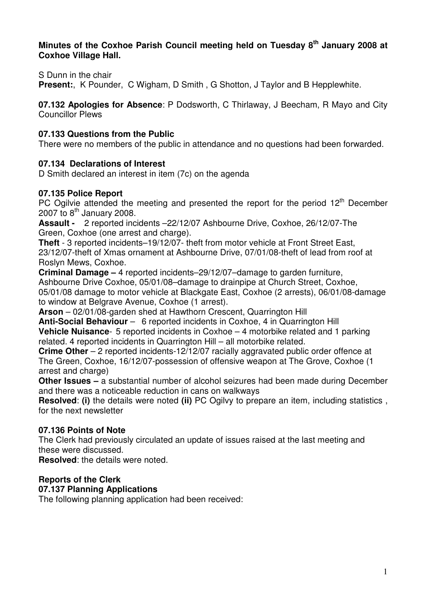### **Minutes of the Coxhoe Parish Council meeting held on Tuesday 8th January 2008 at Coxhoe Village Hall.**

S Dunn in the chair

**Present:**, K Pounder, C Wigham, D Smith, G Shotton, J Taylor and B Hepplewhite.

**07.132 Apologies for Absence**: P Dodsworth, C Thirlaway, J Beecham, R Mayo and City Councillor Plews

# **07.133 Questions from the Public**

There were no members of the public in attendance and no questions had been forwarded.

### **07.134 Declarations of Interest**

D Smith declared an interest in item (7c) on the agenda

### **07.135 Police Report**

PC Ogilvie attended the meeting and presented the report for the period 12<sup>th</sup> December 2007 to  $8<sup>th</sup>$  January 2008.

**Assault -** 2 reported incidents –22/12/07 Ashbourne Drive, Coxhoe, 26/12/07-The Green, Coxhoe (one arrest and charge).

**Theft** - 3 reported incidents–19/12/07- theft from motor vehicle at Front Street East, 23/12/07-theft of Xmas ornament at Ashbourne Drive, 07/01/08-theft of lead from roof at Roslyn Mews, Coxhoe.

**Criminal Damage –** 4 reported incidents–29/12/07–damage to garden furniture, Ashbourne Drive Coxhoe, 05/01/08–damage to drainpipe at Church Street, Coxhoe, 05/01/08 damage to motor vehicle at Blackgate East, Coxhoe (2 arrests), 06/01/08-damage to window at Belgrave Avenue, Coxhoe (1 arrest).

**Arson** – 02/01/08-garden shed at Hawthorn Crescent, Quarrington Hill

**Anti-Social Behaviour** – 6 reported incidents in Coxhoe, 4 in Quarrington Hill **Vehicle Nuisance**- 5 reported incidents in Coxhoe – 4 motorbike related and 1 parking related. 4 reported incidents in Quarrington Hill – all motorbike related.

**Crime Other** – 2 reported incidents-12/12/07 racially aggravated public order offence at The Green, Coxhoe, 16/12/07-possession of offensive weapon at The Grove, Coxhoe (1 arrest and charge)

**Other Issues –** a substantial number of alcohol seizures had been made during December and there was a noticeable reduction in cans on walkways

**Resolved**: **(i)** the details were noted **(ii)** PC Ogilvy to prepare an item, including statistics , for the next newsletter

# **07.136 Points of Note**

The Clerk had previously circulated an update of issues raised at the last meeting and these were discussed.

**Resolved**: the details were noted.

# **Reports of the Clerk**

### **07.137 Planning Applications**

The following planning application had been received: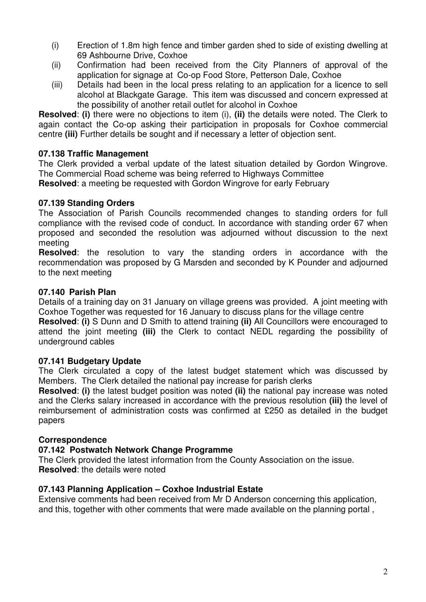- (i) Erection of 1.8m high fence and timber garden shed to side of existing dwelling at 69 Ashbourne Drive, Coxhoe
- (ii) Confirmation had been received from the City Planners of approval of the application for signage at Co-op Food Store, Petterson Dale, Coxhoe
- (iii) Details had been in the local press relating to an application for a licence to sell alcohol at Blackgate Garage. This item was discussed and concern expressed at the possibility of another retail outlet for alcohol in Coxhoe

**Resolved**: **(i)** there were no objections to item (i), **(ii)** the details were noted. The Clerk to again contact the Co-op asking their participation in proposals for Coxhoe commercial centre **(iii)** Further details be sought and if necessary a letter of objection sent.

# **07.138 Traffic Management**

The Clerk provided a verbal update of the latest situation detailed by Gordon Wingrove. The Commercial Road scheme was being referred to Highways Committee

**Resolved**: a meeting be requested with Gordon Wingrove for early February

# **07.139 Standing Orders**

The Association of Parish Councils recommended changes to standing orders for full compliance with the revised code of conduct. In accordance with standing order 67 when proposed and seconded the resolution was adjourned without discussion to the next meeting

**Resolved**: the resolution to vary the standing orders in accordance with the recommendation was proposed by G Marsden and seconded by K Pounder and adjourned to the next meeting

### **07.140 Parish Plan**

Details of a training day on 31 January on village greens was provided. A joint meeting with Coxhoe Together was requested for 16 January to discuss plans for the village centre

**Resolved**: **(i)** S Dunn and D Smith to attend training **(ii)** All Councillors were encouraged to attend the joint meeting **(iii)** the Clerk to contact NEDL regarding the possibility of underground cables

# **07.141 Budgetary Update**

The Clerk circulated a copy of the latest budget statement which was discussed by Members. The Clerk detailed the national pay increase for parish clerks

**Resolved**: **(i)** the latest budget position was noted **(ii)** the national pay increase was noted and the Clerks salary increased in accordance with the previous resolution **(iii)** the level of reimbursement of administration costs was confirmed at £250 as detailed in the budget papers

# **Correspondence**

### **07.142 Postwatch Network Change Programme**

The Clerk provided the latest information from the County Association on the issue. **Resolved**: the details were noted

### **07.143 Planning Application – Coxhoe Industrial Estate**

Extensive comments had been received from Mr D Anderson concerning this application, and this, together with other comments that were made available on the planning portal ,